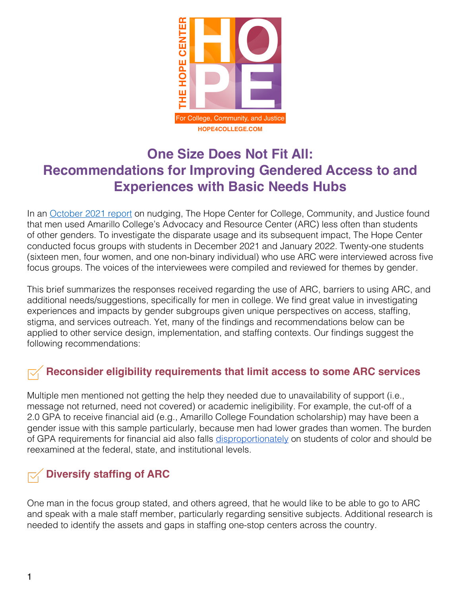

# **One Size Does Not Fit All: Recommendations for Improving Gendered Access to and Experiences with Basic Needs Hubs**

In an [October 2021 report](https://hope4college.com/wp-content/uploads/2021/10/ARC_ImpactPaper.pdf) on nudging, The Hope Center for College, Community, and Justice found that men used Amarillo College's Advocacy and Resource Center (ARC) less often than students of other genders. To investigate the disparate usage and its subsequent impact, The Hope Center conducted focus groups with students in December 2021 and January 2022. Twenty-one students (sixteen men, four women, and one non-binary individual) who use ARC were interviewed across five focus groups. The voices of the interviewees were compiled and reviewed for themes by gender.

This brief summarizes the responses received regarding the use of ARC, barriers to using ARC, and additional needs/suggestions, specifically for men in college. We find great value in investigating experiences and impacts by gender subgroups given unique perspectives on access, staffing, stigma, and services outreach. Yet, many of the findings and recommendations below can be applied to other service design, implementation, and staffing contexts. Our findings suggest the following recommendations:

## **Reconsider eligibility requirements that limit access to some ARC services**

Multiple men mentioned not getting the help they needed due to unavailability of support (i.e., message not returned, need not covered) or academic ineligibility. For example, the cut-off of a 2.0 GPA to receive financial aid (e.g., Amarillo College Foundation scholarship) may have been a gender issue with this sample particularly, because men had lower grades than women. The burden of GPA requirements for financial aid also falls [disproportionately](https://jbay.org/resources/overlooked-obstacle/) on students of color and should be reexamined at the federal, state, and institutional levels.

## **Diversify staffing of ARC**

One man in the focus group stated, and others agreed, that he would like to be able to go to ARC and speak with a male staff member, particularly regarding sensitive subjects. Additional research is needed to identify the assets and gaps in staffing one-stop centers across the country.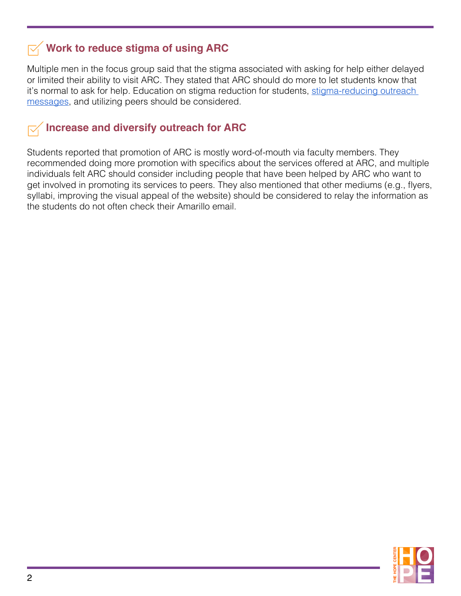#### **Work to reduce stigma of using ARC**

Multiple men in the focus group said that the stigma associated with asking for help either delayed or limited their ability to visit ARC. They stated that ARC should do more to let students know that it's normal to ask for help. Education on stigma reduction for students, stigma-reducing outreach [messages](https://hope4college.com/wp-content/uploads/2022/03/CCF_Brief.pdf), and utilizing peers should be considered.

#### **Increase and diversify outreach for ARC**

Students reported that promotion of ARC is mostly word-of-mouth via faculty members. They recommended doing more promotion with specifics about the services offered at ARC, and multiple individuals felt ARC should consider including people that have been helped by ARC who want to get involved in promoting its services to peers. They also mentioned that other mediums (e.g., flyers, syllabi, improving the visual appeal of the website) should be considered to relay the information as the students do not often check their Amarillo email.